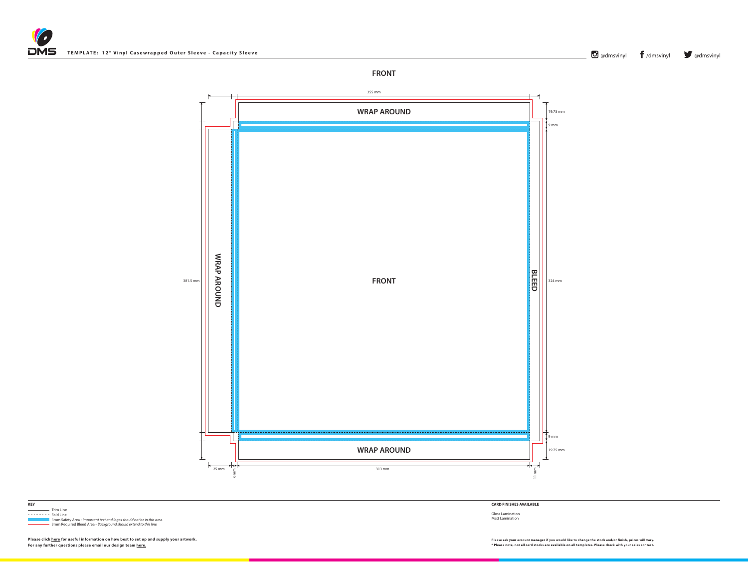



 Trim Line Trim Line ------- Fold Line 3mm Safety Area - *Important text and logos should not be in this area*. 3mm Required Bleed Area - *Background should extend to this line.*

**KEY**

**CARD FINISHES AVAILABLE**

Gloss Lamination Matt Lamination



**O** [@dmsvinyl](http://www.twitter.com/dmsvinyl) **f** [/](http://www.facebook.com/dmsvinyl)[dmsvinyl](https://www.facebook.com/dmsvinyl/) **y** @dmsvinyl



**Please click [here](http://www.discmanufacturingservices.com/vinyl-templates.htm#artwork-specifications) for useful information on how best to set up and supply your artwork. Please ask your account manager if you would like to change the stock and/or finish, prices will vary.**